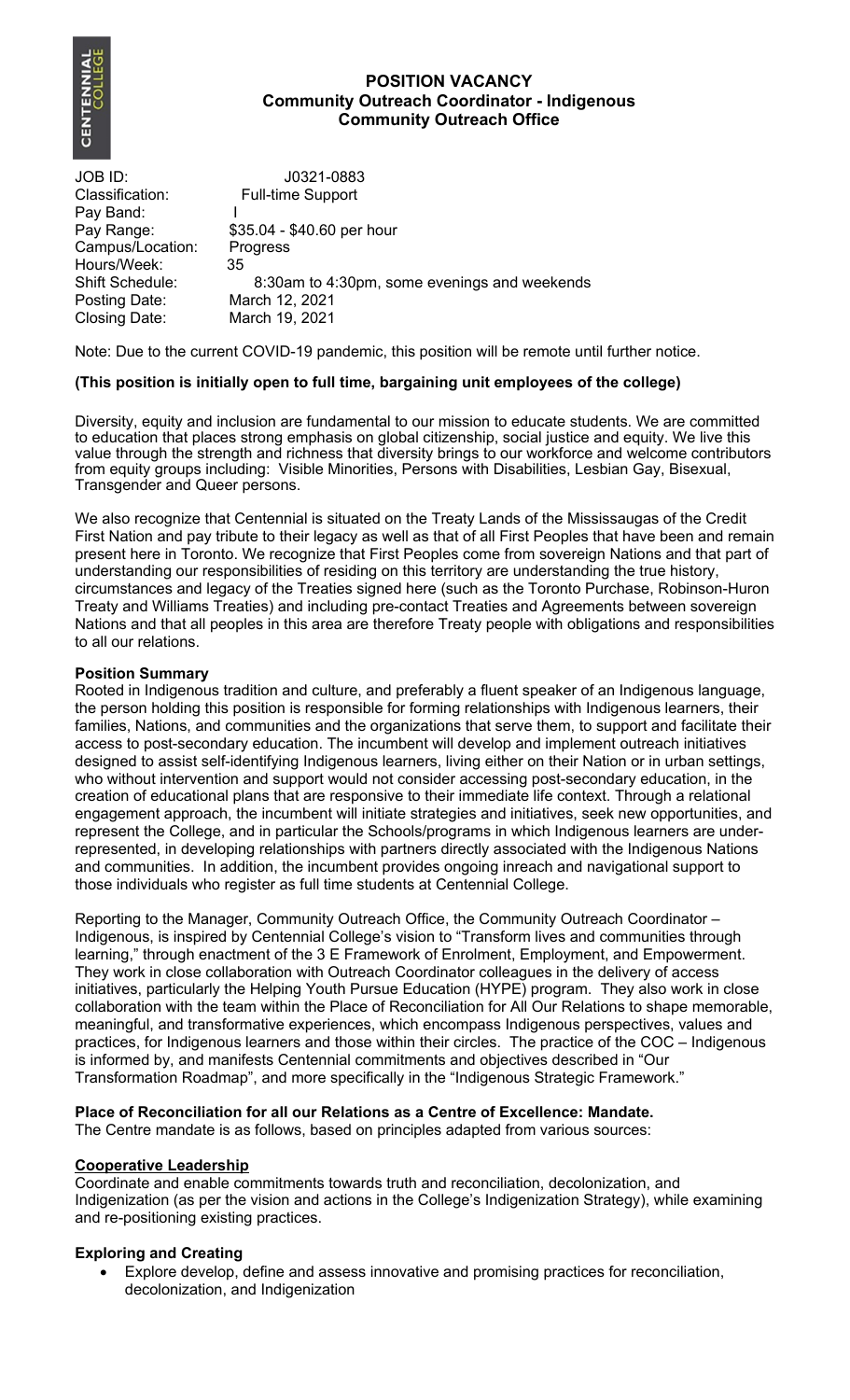

## **POSITION VACANCY Community Outreach Coordinator - Indigenous Community Outreach Office**

JOB ID: J0321-0883 Classification: Full-time Support Pay Band: I<br>Pay Range: \$3 \$35.04 - \$40.60 per hour Campus/Location: Progress Hours/Week: 35 Shift Schedule: 8:30am to 4:30pm, some evenings and weekends Posting Date: March 12, 2021<br>Closing Date: March 19, 2021 March 19, 2021

Note: Due to the current COVID-19 pandemic, this position will be remote until further notice.

# **(This position is initially open to full time, bargaining unit employees of the college)**

Diversity, equity and inclusion are fundamental to our mission to educate students. We are committed to education that places strong emphasis on global citizenship, social justice and equity. We live this value through the strength and richness that diversity brings to our workforce and welcome contributors from equity groups including: Visible Minorities, Persons with Disabilities, Lesbian Gay, Bisexual, Transgender and Queer persons.

We also recognize that Centennial is situated on the Treaty Lands of the Mississaugas of the Credit First Nation and pay tribute to their legacy as well as that of all First Peoples that have been and remain present here in Toronto. We recognize that First Peoples come from sovereign Nations and that part of understanding our responsibilities of residing on this territory are understanding the true history, circumstances and legacy of the Treaties signed here (such as the Toronto Purchase, Robinson-Huron Treaty and Williams Treaties) and including pre-contact Treaties and Agreements between sovereign Nations and that all peoples in this area are therefore Treaty people with obligations and responsibilities to all our relations.

### **Position Summary**

Rooted in Indigenous tradition and culture, and preferably a fluent speaker of an Indigenous language, the person holding this position is responsible for forming relationships with Indigenous learners, their families, Nations, and communities and the organizations that serve them, to support and facilitate their access to post-secondary education. The incumbent will develop and implement outreach initiatives designed to assist self-identifying Indigenous learners, living either on their Nation or in urban settings, who without intervention and support would not consider accessing post-secondary education, in the creation of educational plans that are responsive to their immediate life context. Through a relational engagement approach, the incumbent will initiate strategies and initiatives, seek new opportunities, and represent the College, and in particular the Schools/programs in which Indigenous learners are underrepresented, in developing relationships with partners directly associated with the Indigenous Nations and communities. In addition, the incumbent provides ongoing inreach and navigational support to those individuals who register as full time students at Centennial College.

Reporting to the Manager, Community Outreach Office, the Community Outreach Coordinator – Indigenous, is inspired by Centennial College's vision to "Transform lives and communities through learning," through enactment of the 3 E Framework of Enrolment, Employment, and Empowerment. They work in close collaboration with Outreach Coordinator colleagues in the delivery of access initiatives, particularly the Helping Youth Pursue Education (HYPE) program. They also work in close collaboration with the team within the Place of Reconciliation for All Our Relations to shape memorable, meaningful, and transformative experiences, which encompass Indigenous perspectives, values and practices, for Indigenous learners and those within their circles. The practice of the COC – Indigenous is informed by, and manifests Centennial commitments and objectives described in "Our Transformation Roadmap", and more specifically in the "Indigenous Strategic Framework."

# **Place of Reconciliation for all our Relations as a Centre of Excellence: Mandate.**

The Centre mandate is as follows, based on principles adapted from various sources:

### **Cooperative Leadership**

Coordinate and enable commitments towards truth and reconciliation, decolonization, and Indigenization (as per the vision and actions in the College's Indigenization Strategy), while examining and re-positioning existing practices.

### **Exploring and Creating**

 Explore develop, define and assess innovative and promising practices for reconciliation, decolonization, and Indigenization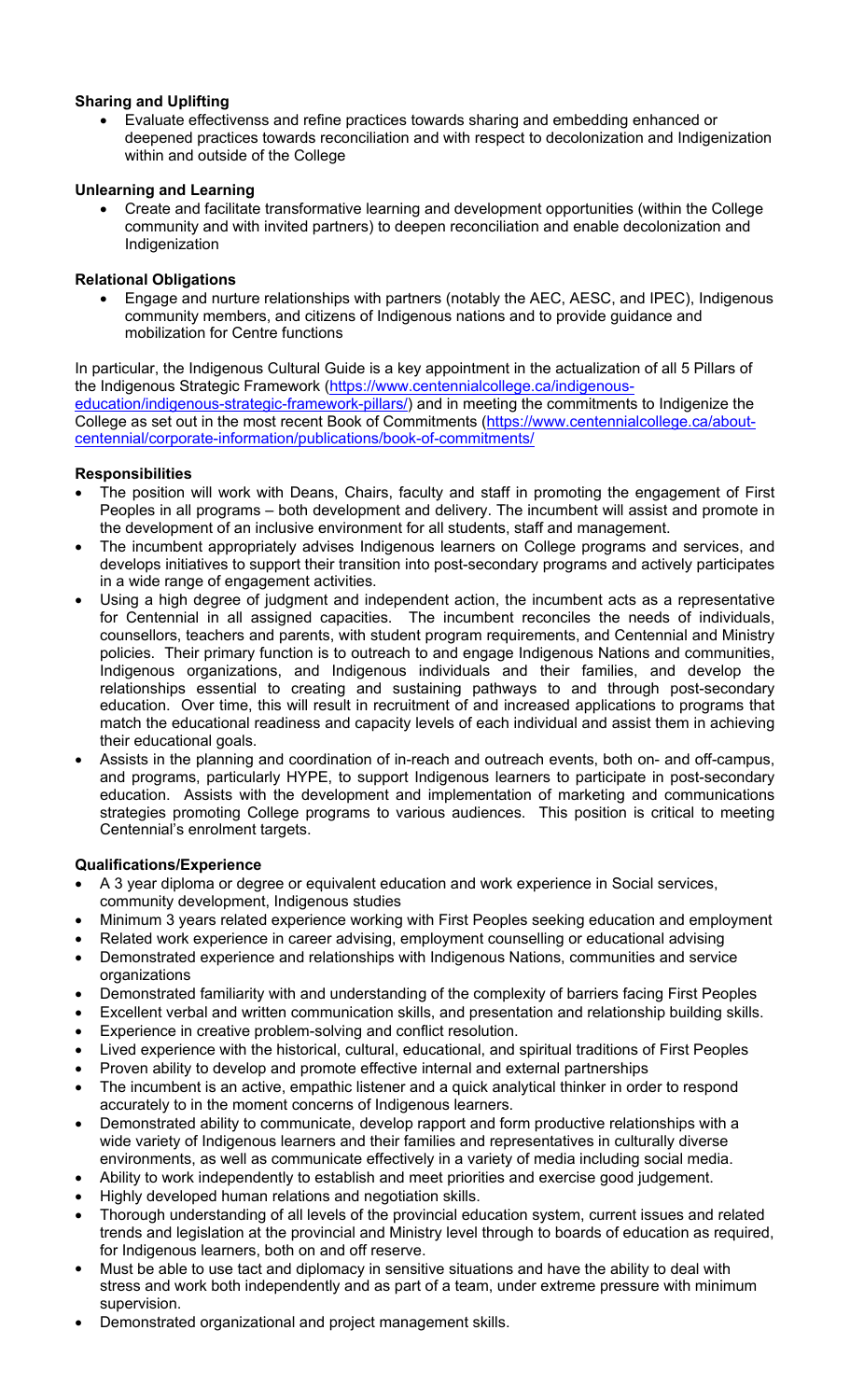# **Sharing and Uplifting**

 Evaluate effectivenss and refine practices towards sharing and embedding enhanced or deepened practices towards reconciliation and with respect to decolonization and Indigenization within and outside of the College

### **Unlearning and Learning**

 Create and facilitate transformative learning and development opportunities (within the College community and with invited partners) to deepen reconciliation and enable decolonization and Indigenization

### **Relational Obligations**

 Engage and nurture relationships with partners (notably the AEC, AESC, and IPEC), Indigenous community members, and citizens of Indigenous nations and to provide guidance and mobilization for Centre functions

In particular, the Indigenous Cultural Guide is a key appointment in the actualization of all 5 Pillars of the Indigenous Strategic Framework (https://www.centennialcollege.ca/indigenouseducation/indigenous-strategic-framework-pillars/) and in meeting the commitments to Indigenize the College as set out in the most recent Book of Commitments (https://www.centennialcollege.ca/aboutcentennial/corporate-information/publications/book-of-commitments/

## **Responsibilities**

- The position will work with Deans, Chairs, faculty and staff in promoting the engagement of First Peoples in all programs – both development and delivery. The incumbent will assist and promote in the development of an inclusive environment for all students, staff and management.
- The incumbent appropriately advises Indigenous learners on College programs and services, and develops initiatives to support their transition into post-secondary programs and actively participates in a wide range of engagement activities.
- Using a high degree of judgment and independent action, the incumbent acts as a representative for Centennial in all assigned capacities. The incumbent reconciles the needs of individuals, counsellors, teachers and parents, with student program requirements, and Centennial and Ministry policies. Their primary function is to outreach to and engage Indigenous Nations and communities, Indigenous organizations, and Indigenous individuals and their families, and develop the relationships essential to creating and sustaining pathways to and through post-secondary education. Over time, this will result in recruitment of and increased applications to programs that match the educational readiness and capacity levels of each individual and assist them in achieving their educational goals.
- Assists in the planning and coordination of in-reach and outreach events, both on- and off-campus, and programs, particularly HYPE, to support Indigenous learners to participate in post-secondary education. Assists with the development and implementation of marketing and communications strategies promoting College programs to various audiences. This position is critical to meeting Centennial's enrolment targets.

### **Qualifications/Experience**

- A 3 year diploma or degree or equivalent education and work experience in Social services, community development, Indigenous studies
- Minimum 3 years related experience working with First Peoples seeking education and employment
- Related work experience in career advising, employment counselling or educational advising
- Demonstrated experience and relationships with Indigenous Nations, communities and service organizations
- Demonstrated familiarity with and understanding of the complexity of barriers facing First Peoples
- Excellent verbal and written communication skills, and presentation and relationship building skills.
- Experience in creative problem-solving and conflict resolution.
- Lived experience with the historical, cultural, educational, and spiritual traditions of First Peoples
- Proven ability to develop and promote effective internal and external partnerships
- The incumbent is an active, empathic listener and a quick analytical thinker in order to respond accurately to in the moment concerns of Indigenous learners.
- Demonstrated ability to communicate, develop rapport and form productive relationships with a wide variety of Indigenous learners and their families and representatives in culturally diverse environments, as well as communicate effectively in a variety of media including social media.
- Ability to work independently to establish and meet priorities and exercise good judgement.
- Highly developed human relations and negotiation skills.
- Thorough understanding of all levels of the provincial education system, current issues and related trends and legislation at the provincial and Ministry level through to boards of education as required, for Indigenous learners, both on and off reserve.
- Must be able to use tact and diplomacy in sensitive situations and have the ability to deal with stress and work both independently and as part of a team, under extreme pressure with minimum supervision.
- Demonstrated organizational and project management skills.